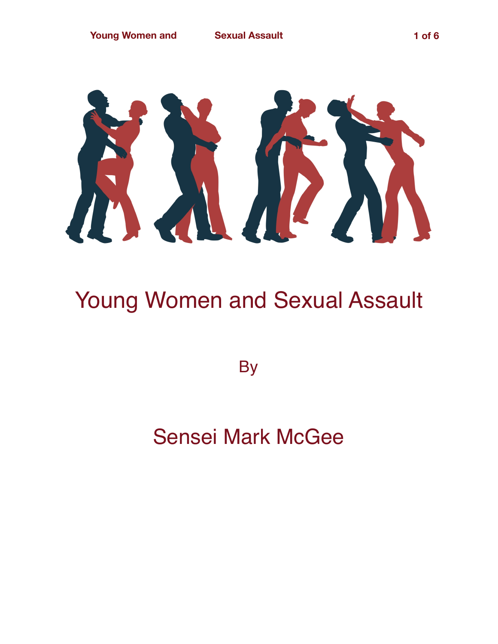

## Young Women and Sexual Assault

**By** 

## Sensei Mark McGee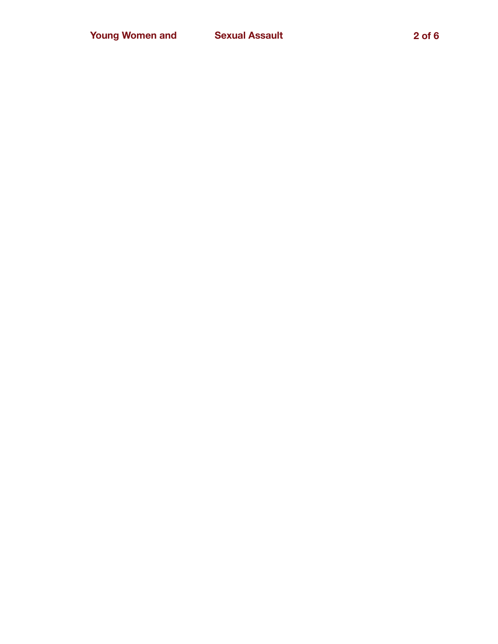## **Young Women and Sexual Assault 2 of 6**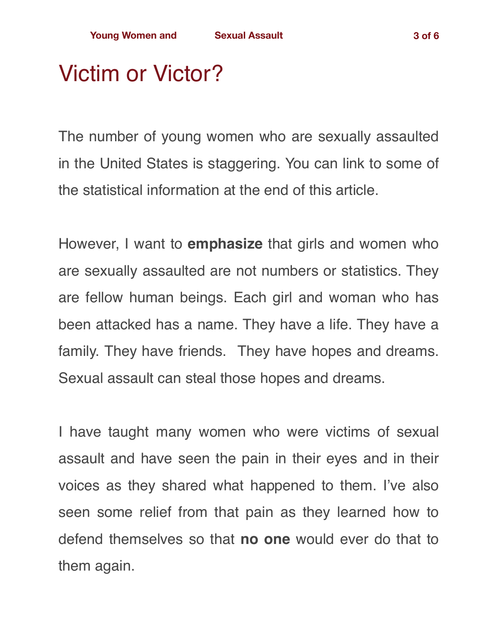## Victim or Victor?

The number of young women who are sexually assaulted in the United States is staggering. You can link to some of the statistical information at the end of this article.

However, I want to **emphasize** that girls and women who are sexually assaulted are not numbers or statistics. They are fellow human beings. Each girl and woman who has been attacked has a name. They have a life. They have a family. They have friends. They have hopes and dreams. Sexual assault can steal those hopes and dreams.

I have taught many women who were victims of sexual assault and have seen the pain in their eyes and in their voices as they shared what happened to them. I've also seen some relief from that pain as they learned how to defend themselves so that **no one** would ever do that to them again.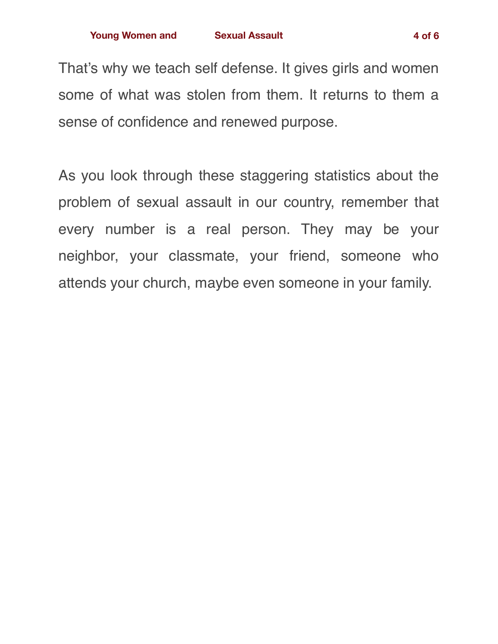That's why we teach self defense. It gives girls and women some of what was stolen from them. It returns to them a sense of confidence and renewed purpose.

As you look through these staggering statistics about the problem of sexual assault in our country, remember that every number is a real person. They may be your neighbor, your classmate, your friend, someone who attends your church, maybe even someone in your family.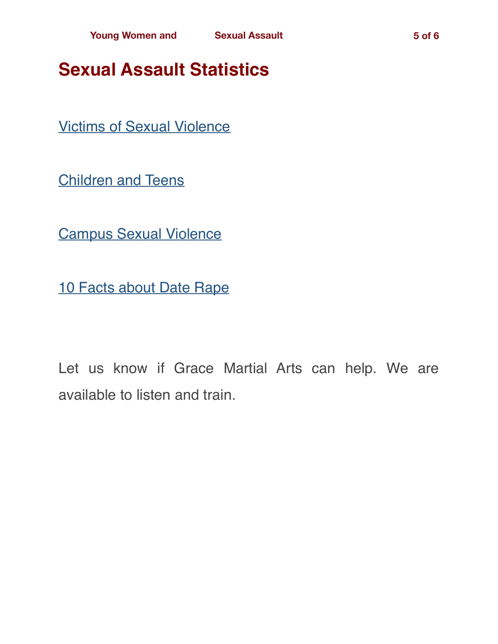[Victims of Sexual Violence](https://www.rainn.org/statistics/victims-sexual-violence)

[Children and Teens](https://www.rainn.org/statistics/children-and-teens)

[Campus Sexual Violence](https://www.rainn.org/statistics/campus-sexual-violence)

[10 Facts about Date Rape](https://youthspecialties.com/blog/10-facts-date-rape/)

Let us know if Grace Martial Arts can help. We are available to listen and train.